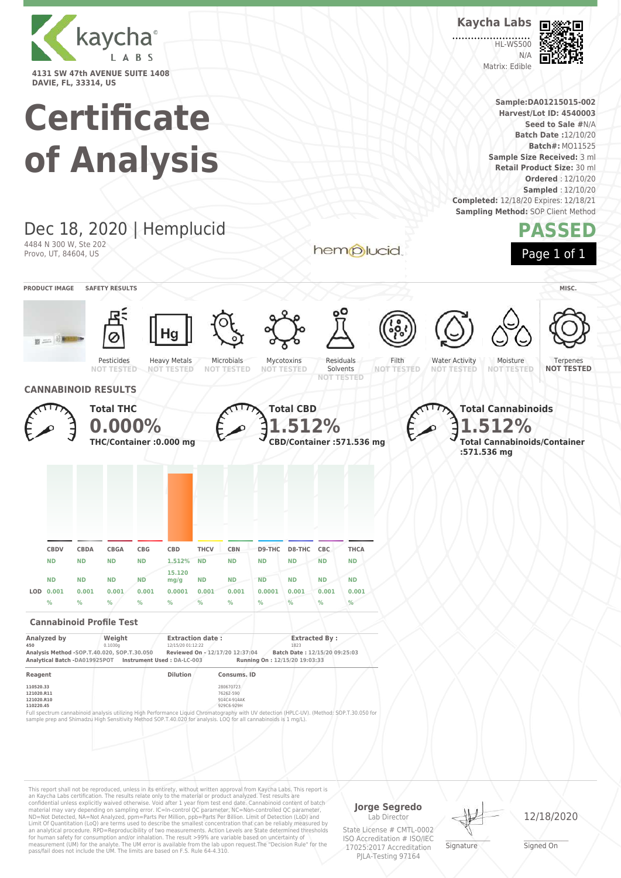

# **Certificate**



This report shall not be reproduced, unless in its entirety, without written approval from Kaycha Labs, This report is<br>an Kaycha Labs certification. The results relate only to the materal or product analyzed. Test results an analytical procedure. RPD=Reproducibility of two measurements. Action Levels are State determined thresholds for human safety for consumption and/or inhalation. The result >99% are variable based on uncertainty of measurement (UM) for the analyte. The UM error is available from the lab upon request.The "Decision Rule" for the pass/fail does not include the UM. The limits are based on F.S. Rule 64-4.310.

**Jorge Segredo** Lab Director

State License # CMTL-0002 ISO Accreditation # ISO/IEC 17025:2017 Accreditation PJLA-Testing 97164

\_\_\_\_\_\_\_\_\_\_\_\_\_\_\_\_\_\_\_ Signature

12/18/2020

\_\_\_\_\_\_\_\_\_\_\_\_\_\_\_\_\_\_\_ Signed On



**Sample:DA01215015-002 Harvest/Lot ID: 4540003 Seed to Sale #**N/A

HL-WS500  $N/L$ Matrix: Edible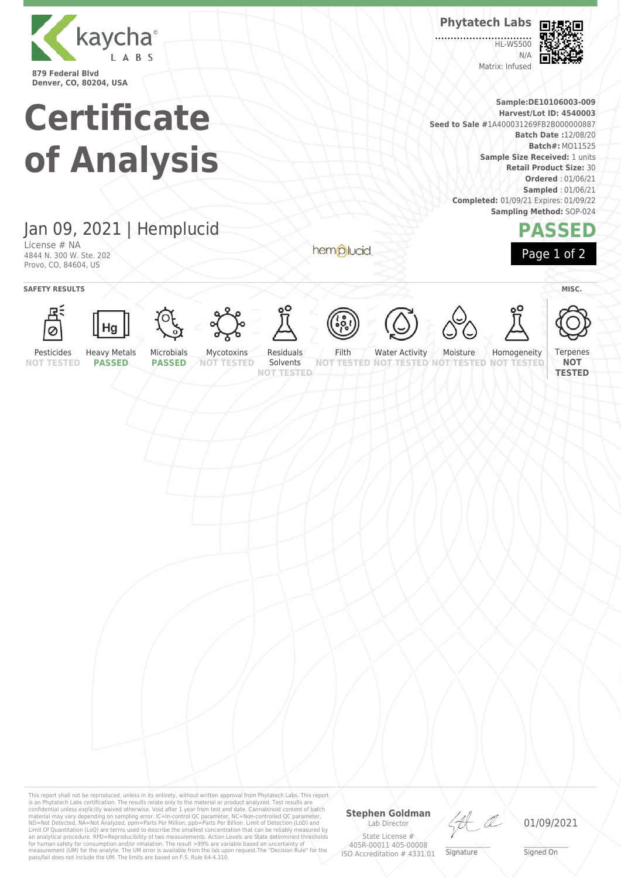

**Denver, CO, 80204, USA**

## **Certificate of Analysis**

**Phytatech Labs** 

HL-WS500  $N/4$ Matrix: Infused



**Sample:DE10106003-009 Harvest/Lot ID: 4540003 Seed to Sale #**1A400031269FB2B000000887 **Batch Date :**12/08/20 **Batch#:** MO11525 **Sample Size Received:** 1 units **Retail Product Size:** 30 **Ordered** : 01/06/21 **Sampled** : 01/06/21 **Completed:** 01/09/21 Expires: 01/09/22 **Sampling Method:** SOP-024



### Jan 09, 2021 | Hemplucid

License # NA 4844 N. 300 W. Ste. 202 Provo, CO, 84604, US

**SAFETY RESULTS** MISC.





















hemplucid









Pesticides **NOT TESTED**

**PASSED PASSED**

Mycotoxins **NOT TESTED**

Solvents **NOT TESTED**

Filth

**NOT TESTED NOT TESTED** Water Activity Moisture

**TESTED NOT** 

Homogeneity **NOT TESTED** Terpenes

**NOT TESTED**

This report shall not be reproduced, unless in its entirety, without written approval from Phytatech Labs. This report<br>is an Phytatech Labs certification. The results relate only to the material or product analyzed. Test

#### **Stephen Goldman**

Lab Director State License # 405R-00011 405-00008 ISO Accreditation # 4331.01

LA

\_\_\_\_\_\_\_\_\_\_\_\_\_\_\_\_\_\_\_ Signature

01/09/2021

\_\_\_\_\_\_\_\_\_\_\_\_\_\_\_\_\_\_\_ Signed On